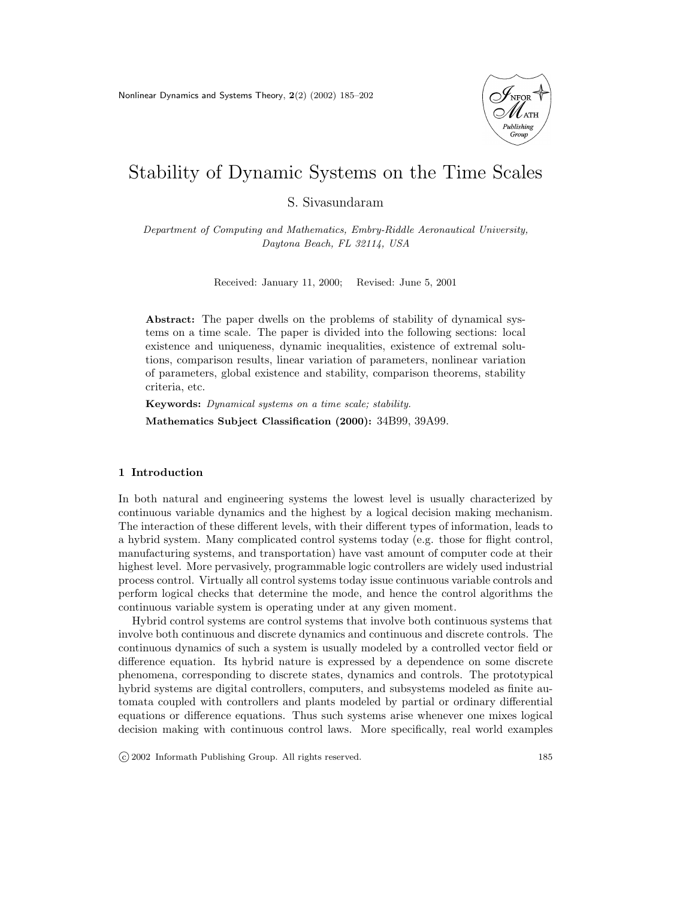Nonlinear Dynamics and Systems Theory, 2(2) (2002) 185–202



# Stability of Dynamic Systems on the Time Scales

S. Sivasundaram

Department of Computing and Mathematics, Embry-Riddle Aeronautical University, Daytona Beach, FL 32114, USA

Received: January 11, 2000; Revised: June 5, 2001

Abstract: The paper dwells on the problems of stability of dynamical systems on a time scale. The paper is divided into the following sections: local existence and uniqueness, dynamic inequalities, existence of extremal solutions, comparison results, linear variation of parameters, nonlinear variation of parameters, global existence and stability, comparison theorems, stability criteria, etc.

Keywords: Dynamical systems on a time scale; stability. Mathematics Subject Classification (2000): 34B99, 39A99.

## 1 Introduction

In both natural and engineering systems the lowest level is usually characterized by continuous variable dynamics and the highest by a logical decision making mechanism. The interaction of these different levels, with their different types of information, leads to a hybrid system. Many complicated control systems today (e.g. those for flight control, manufacturing systems, and transportation) have vast amount of computer code at their highest level. More pervasively, programmable logic controllers are widely used industrial process control. Virtually all control systems today issue continuous variable controls and perform logical checks that determine the mode, and hence the control algorithms the continuous variable system is operating under at any given moment.

Hybrid control systems are control systems that involve both continuous systems that involve both continuous and discrete dynamics and continuous and discrete controls. The continuous dynamics of such a system is usually modeled by a controlled vector field or difference equation. Its hybrid nature is expressed by a dependence on some discrete phenomena, corresponding to discrete states, dynamics and controls. The prototypical hybrid systems are digital controllers, computers, and subsystems modeled as finite automata coupled with controllers and plants modeled by partial or ordinary differential equations or difference equations. Thus such systems arise whenever one mixes logical decision making with continuous control laws. More specifically, real world examples

c 2002 Informath Publishing Group. All rights reserved. 185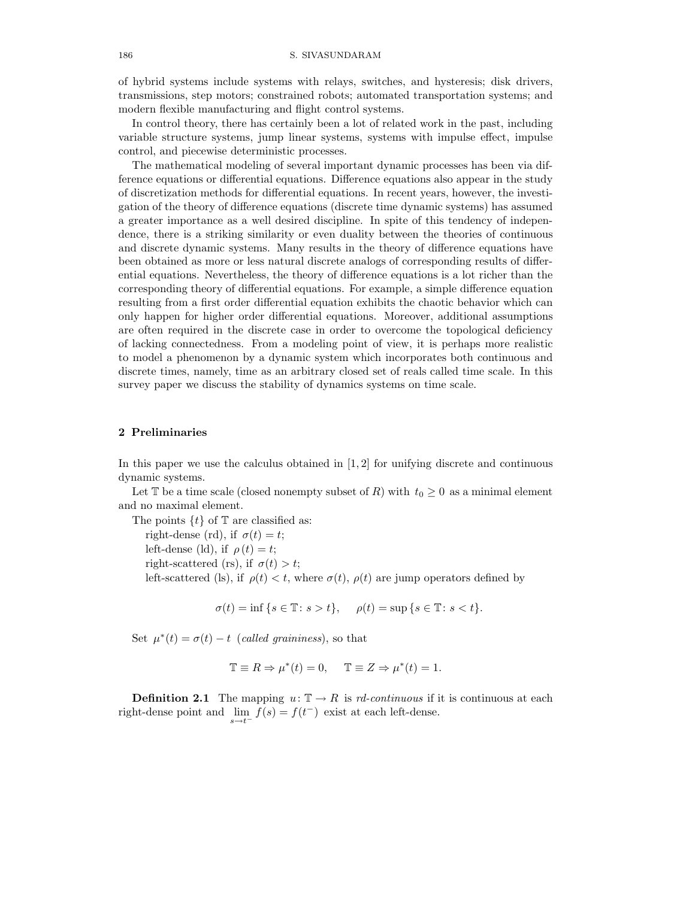## 186 S. SIVASUNDARAM

of hybrid systems include systems with relays, switches, and hysteresis; disk drivers, transmissions, step motors; constrained robots; automated transportation systems; and modern flexible manufacturing and flight control systems.

In control theory, there has certainly been a lot of related work in the past, including variable structure systems, jump linear systems, systems with impulse effect, impulse control, and piecewise deterministic processes.

The mathematical modeling of several important dynamic processes has been via difference equations or differential equations. Difference equations also appear in the study of discretization methods for differential equations. In recent years, however, the investigation of the theory of difference equations (discrete time dynamic systems) has assumed a greater importance as a well desired discipline. In spite of this tendency of independence, there is a striking similarity or even duality between the theories of continuous and discrete dynamic systems. Many results in the theory of difference equations have been obtained as more or less natural discrete analogs of corresponding results of differential equations. Nevertheless, the theory of difference equations is a lot richer than the corresponding theory of differential equations. For example, a simple difference equation resulting from a first order differential equation exhibits the chaotic behavior which can only happen for higher order differential equations. Moreover, additional assumptions are often required in the discrete case in order to overcome the topological deficiency of lacking connectedness. From a modeling point of view, it is perhaps more realistic to model a phenomenon by a dynamic system which incorporates both continuous and discrete times, namely, time as an arbitrary closed set of reals called time scale. In this survey paper we discuss the stability of dynamics systems on time scale.

# 2 Preliminaries

In this paper we use the calculus obtained in  $[1, 2]$  for unifying discrete and continuous dynamic systems.

Let T be a time scale (closed nonempty subset of R) with  $t_0 \geq 0$  as a minimal element and no maximal element.

The points  $\{t\}$  of  $\mathbb T$  are classified as:

right-dense (rd), if  $\sigma(t) = t$ ;

left-dense (ld), if  $\rho(t) = t$ ;

right-scattered (rs), if  $\sigma(t) > t$ ;

left-scattered (ls), if  $\rho(t) < t$ , where  $\sigma(t)$ ,  $\rho(t)$  are jump operators defined by

 $\sigma(t) = \inf \{ s \in \mathbb{T} : s > t \}, \quad \rho(t) = \sup \{ s \in \mathbb{T} : s < t \}.$ 

Set  $\mu^*(t) = \sigma(t) - t$  (called graininess), so that

$$
\mathbb{T} \equiv R \Rightarrow \mu^*(t) = 0, \quad \mathbb{T} \equiv Z \Rightarrow \mu^*(t) = 1.
$$

**Definition 2.1** The mapping  $u: \mathbb{T} \to R$  is rd-continuous if it is continuous at each right-dense point and  $\lim_{s \to t^{-}} f(s) = f(t^{-})$  exist at each left-dense.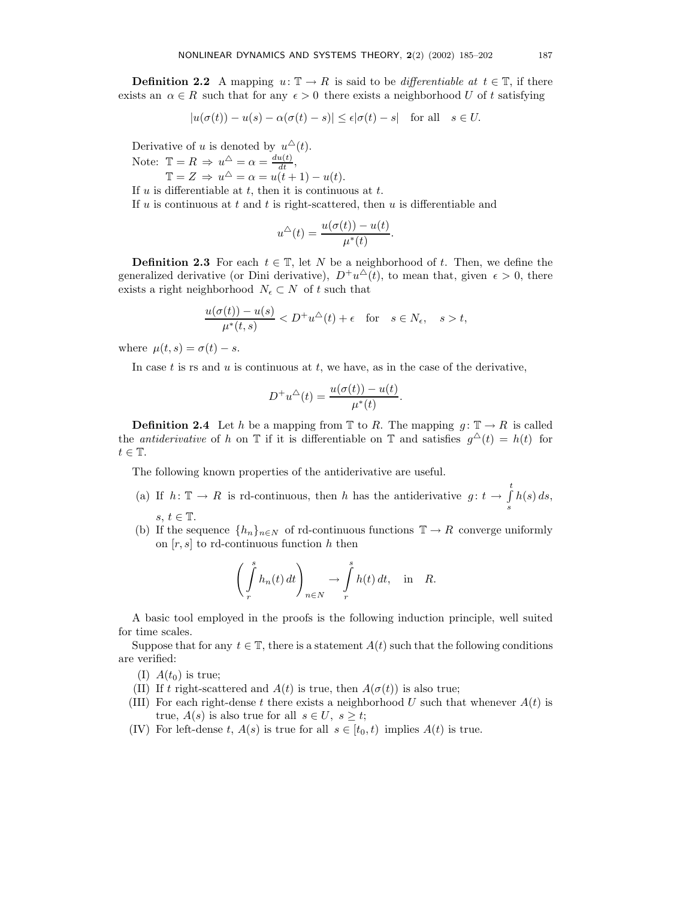**Definition 2.2** A mapping  $u: \mathbb{T} \to R$  is said to be differentiable at  $t \in \mathbb{T}$ , if there exists an  $\alpha \in R$  such that for any  $\epsilon > 0$  there exists a neighborhood U of t satisfying

$$
|u(\sigma(t)) - u(s) - \alpha(\sigma(t) - s)| \le \epsilon |\sigma(t) - s| \quad \text{for all} \quad s \in U.
$$

Derivative of u is denoted by  $u^{\Delta}(t)$ .

Note:  $\mathbb{T} = R \Rightarrow u^{\triangle} = \alpha = \frac{du(t)}{dt}$ ,

 $\mathbb{T} = Z \Rightarrow u^{\triangle} = \alpha = u(t+1) - u(t).$ 

If  $u$  is differentiable at  $t$ , then it is continuous at  $t$ .

If  $u$  is continuous at  $t$  and  $t$  is right-scattered, then  $u$  is differentiable and

$$
u^{\triangle}(t) = \frac{u(\sigma(t)) - u(t)}{\mu^*(t)}.
$$

**Definition 2.3** For each  $t \in \mathbb{T}$ , let N be a neighborhood of t. Then, we define the generalized derivative (or Dini derivative),  $D^+u^{\Delta}(t)$ , to mean that, given  $\epsilon > 0$ , there exists a right neighborhood  $N_{\epsilon} \subset N$  of t such that

$$
\frac{u(\sigma(t)) - u(s)}{\mu^*(t, s)} < D^+ u^{\triangle}(t) + \epsilon \quad \text{for} \quad s \in N_{\epsilon}, \quad s > t,
$$

where  $\mu(t, s) = \sigma(t) - s$ .

In case  $t$  is rs and  $u$  is continuous at  $t$ , we have, as in the case of the derivative,

$$
D^+u^{\triangle}(t) = \frac{u(\sigma(t)) - u(t)}{\mu^*(t)}.
$$

**Definition 2.4** Let h be a mapping from  $\mathbb{T}$  to R. The mapping  $g: \mathbb{T} \to R$  is called the *antiderivative* of h on  $\mathbb T$  if it is differentiable on  $\mathbb T$  and satisfies  $g^{\Delta}(t) = h(t)$  for  $t \in \mathbb{T}$ .

The following known properties of the antiderivative are useful.

- (a) If  $h: \mathbb{T} \to R$  is rd-continuous, then h has the antiderivative  $g: t \to \int_0^t$ s  $h(s) ds$ ,  $s, t \in \mathbb{T}$ .
- (b) If the sequence  $\{h_n\}_{n\in\mathbb{N}}$  of rd-continuous functions  $\mathbb{T} \to R$  converge uniformly on  $[r, s]$  to rd-continuous function h then

$$
\left(\int\limits_r^sh_n(t)\,dt\right)_{n\in N}\to\int\limits_r^sh(t)\,dt,\quad\text{in}\quad R.
$$

A basic tool employed in the proofs is the following induction principle, well suited for time scales.

Suppose that for any  $t \in \mathbb{T}$ , there is a statement  $A(t)$  such that the following conditions are verified:

- (I)  $A(t_0)$  is true;
- (II) If t right-scattered and  $A(t)$  is true, then  $A(\sigma(t))$  is also true;
- (III) For each right-dense t there exists a neighborhood U such that whenever  $A(t)$  is true,  $A(s)$  is also true for all  $s \in U, s \geq t$ ;
- (IV) For left-dense t,  $A(s)$  is true for all  $s \in [t_0, t)$  implies  $A(t)$  is true.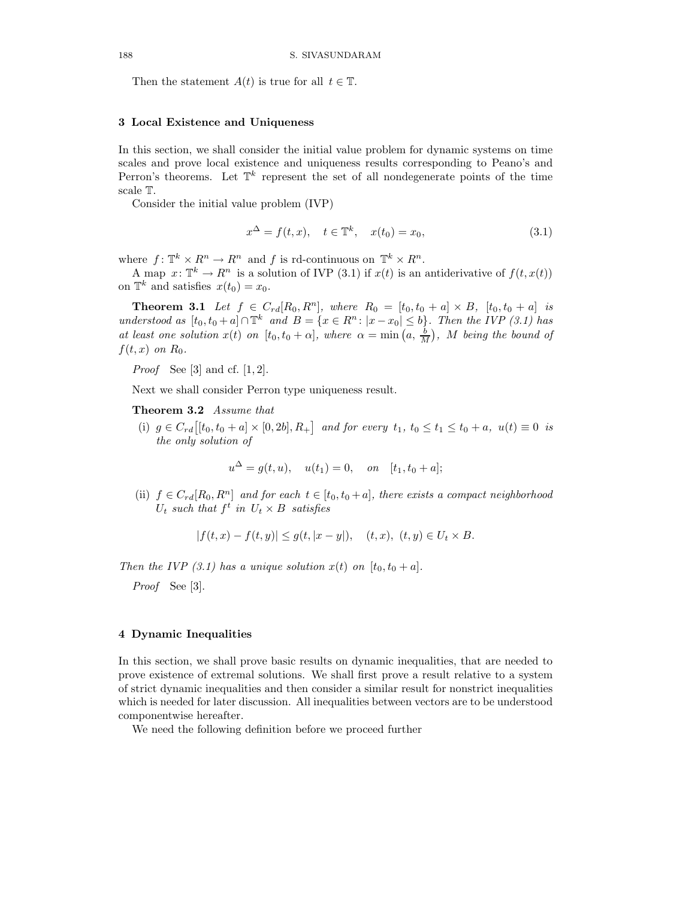Then the statement  $A(t)$  is true for all  $t \in \mathbb{T}$ .

#### 3 Local Existence and Uniqueness

In this section, we shall consider the initial value problem for dynamic systems on time scales and prove local existence and uniqueness results corresponding to Peano's and Perron's theorems. Let  $\mathbb{T}^k$  represent the set of all nondegenerate points of the time scale T.

Consider the initial value problem (IVP)

$$
x^{\Delta} = f(t, x), \quad t \in \mathbb{T}^k, \quad x(t_0) = x_0,
$$
\n(3.1)

where  $f: \mathbb{T}^k \times R^n \to R^n$  and f is rd-continuous on  $\mathbb{T}^k \times R^n$ .

A map  $x: \mathbb{T}^k \to R^n$  is a solution of IVP (3.1) if  $x(t)$  is an antiderivative of  $f(t, x(t))$ on  $\mathbb{T}^k$  and satisfies  $x(t_0) = x_0$ .

**Theorem 3.1** Let  $f \in C_{rd}[R_0, R^n]$ , where  $R_0 = [t_0, t_0 + a] \times B$ ,  $[t_0, t_0 + a]$  is understood as  $[t_0, t_0 + a] \cap \mathbb{T}^k$  and  $B = \{x \in R^n : |x - x_0| \le b\}$ . Then the IVP (3.1) has at least one solution  $x(t)$  on  $[t_0, t_0 + \alpha]$ , where  $\alpha = \min(a, \frac{b}{M})$ , M being the bound of  $f(t, x)$  on  $R_0$ .

*Proof* See [3] and cf.  $[1, 2]$ .

Next we shall consider Perron type uniqueness result.

Theorem 3.2 Assume that

(i)  $g \in C_{rd}$  [ $[t_0, t_0 + a] \times [0, 2b]$ ,  $R_+$ ] and for every  $t_1, t_0 \le t_1 \le t_0 + a$ ,  $u(t) \equiv 0$  is the only solution of

$$
u^{\Delta} = g(t, u), \quad u(t_1) = 0, \quad on \quad [t_1, t_0 + a];
$$

(ii)  $f \in C_{rd}[R_0, R^n]$  and for each  $t \in [t_0, t_0 + a]$ , there exists a compact neighborhood  $U_t$  such that  $f^t$  in  $U_t \times B$  satisfies

$$
|f(t, x) - f(t, y)| \le g(t, |x - y|), \quad (t, x), (t, y) \in U_t \times B.
$$

Then the IVP (3.1) has a unique solution  $x(t)$  on  $[t_0, t_0 + a]$ .

Proof See [3].

# 4 Dynamic Inequalities

In this section, we shall prove basic results on dynamic inequalities, that are needed to prove existence of extremal solutions. We shall first prove a result relative to a system of strict dynamic inequalities and then consider a similar result for nonstrict inequalities which is needed for later discussion. All inequalities between vectors are to be understood componentwise hereafter.

We need the following definition before we proceed further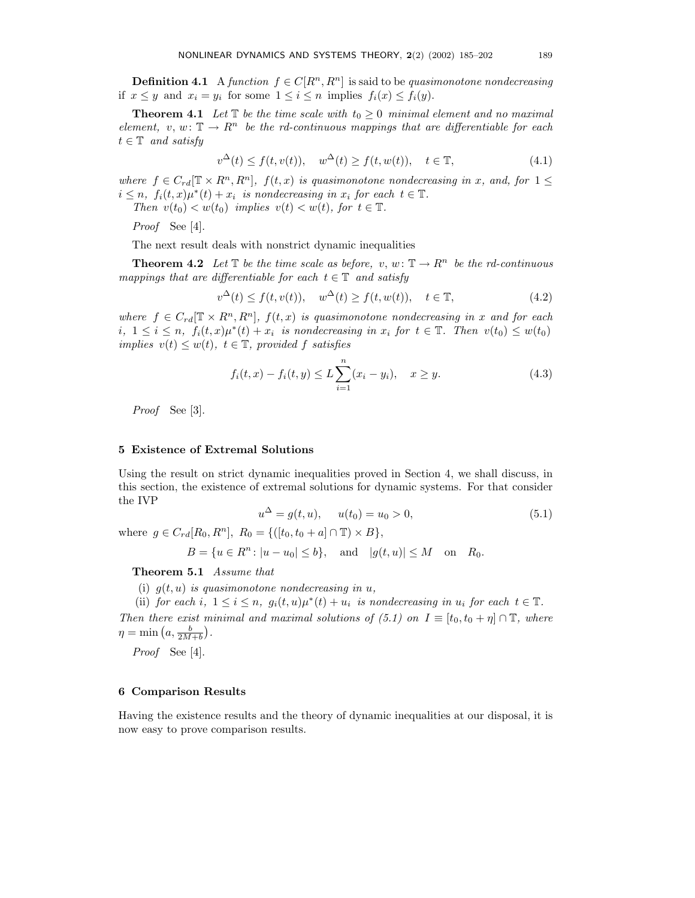**Definition 4.1** A function  $f \in C[R^n, R^n]$  is said to be quasimonotone nondecreasing if  $x \leq y$  and  $x_i = y_i$  for some  $1 \leq i \leq n$  implies  $f_i(x) \leq f_i(y)$ .

**Theorem 4.1** Let  $\mathbb{T}$  be the time scale with  $t_0 \geq 0$  minimal element and no maximal element, v, w:  $\mathbb{T} \to \mathbb{R}^n$  be the rd-continuous mappings that are differentiable for each  $t \in \mathbb{T}$  and satisfy

$$
v^{\Delta}(t) \le f(t, v(t)), \quad w^{\Delta}(t) \ge f(t, w(t)), \quad t \in \mathbb{T}, \tag{4.1}
$$

where  $f \in C_{rd}[\mathbb{T} \times R^n, R^n]$ ,  $f(t, x)$  is quasimonotone nondecreasing in x, and, for  $1 \leq$  $i \leq n$ ,  $f_i(t,x)\mu^*(t) + x_i$  is nondecreasing in  $x_i$  for each  $t \in \mathbb{T}$ .

Then  $v(t_0) < w(t_0)$  implies  $v(t) < w(t)$ , for  $t \in \mathbb{T}$ .

Proof See [4].

The next result deals with nonstrict dynamic inequalities

**Theorem 4.2** Let  $\mathbb{T}$  be the time scale as before,  $v, w: \mathbb{T} \to R^n$  be the rd-continuous mappings that are differentiable for each  $t \in \mathbb{T}$  and satisfy

$$
v^{\Delta}(t) \le f(t, v(t)), \quad w^{\Delta}(t) \ge f(t, w(t)), \quad t \in \mathbb{T},
$$
\n(4.2)

where  $f \in C_{rd}[\mathbb{T} \times R^n, R^n]$ ,  $f(t, x)$  is quasimonotone nondecreasing in x and for each i,  $1 \leq i \leq n$ ,  $f_i(t,x)\mu^*(t) + x_i$  is nondecreasing in  $x_i$  for  $t \in \mathbb{T}$ . Then  $v(t_0) \leq w(t_0)$ implies  $v(t) \leq w(t)$ ,  $t \in \mathbb{T}$ , provided f satisfies

$$
f_i(t, x) - f_i(t, y) \le L \sum_{i=1}^n (x_i - y_i), \quad x \ge y.
$$
 (4.3)

Proof See [3].

#### 5 Existence of Extremal Solutions

Using the result on strict dynamic inequalities proved in Section 4, we shall discuss, in this section, the existence of extremal solutions for dynamic systems. For that consider the IVP

$$
u^{\Delta} = g(t, u), \quad u(t_0) = u_0 > 0,
$$
\n(5.1)

where  $g \in C_{rd}[R_0, R^n], R_0 = \{([t_0, t_0 + a] \cap \mathbb{T}) \times B\},$ 

$$
B = \{u \in R^n : |u - u_0| \le b\}
$$
, and  $|g(t, u)| \le M$  on  $R_0$ .

Theorem 5.1 Assume that

(i)  $q(t, u)$  is quasimonotone nondecreasing in u,

(ii) for each i,  $1 \leq i \leq n$ ,  $g_i(t, u)\mu^*(t) + u_i$  is nondecreasing in  $u_i$  for each  $t \in \mathbb{T}$ . Then there exist minimal and maximal solutions of (5.1) on  $I \equiv [t_0, t_0 + \eta] \cap \mathbb{T}$ , where  $\eta = \min\left(a, \frac{b}{2M+b}\right).$ 

Proof See [4].

# 6 Comparison Results

Having the existence results and the theory of dynamic inequalities at our disposal, it is now easy to prove comparison results.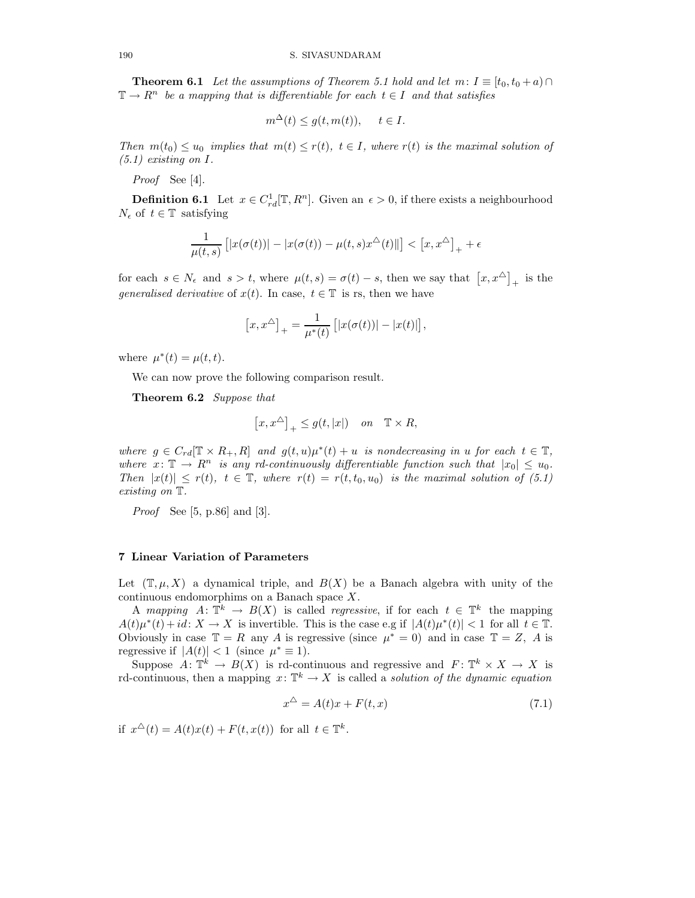**Theorem 6.1** Let the assumptions of Theorem 5.1 hold and let  $m: I \equiv [t_0, t_0 + a) \cap$  $\mathbb{T} \to R^n$  be a mapping that is differentiable for each  $t \in I$  and that satisfies

$$
m^{\Delta}(t) \le g(t, m(t)), \quad t \in I.
$$

Then  $m(t_0) \le u_0$  implies that  $m(t) \le r(t)$ ,  $t \in I$ , where  $r(t)$  is the maximal solution of  $(5.1)$  existing on I.

Proof See [4].

**Definition 6.1** Let  $x \in C_{rd}^1[\mathbb{T}, R^n]$ . Given an  $\epsilon > 0$ , if there exists a neighbourhood  $N_{\epsilon}$  of  $t \in \mathbb{T}$  satisfying

$$
\frac{1}{\mu(t,s)} \left[ |x(\sigma(t))| - |x(\sigma(t)) - \mu(t,s)x^{\Delta}(t)| \right] < \left[ x, x^{\Delta} \right]_+ + \epsilon
$$

for each  $s \in N_{\epsilon}$  and  $s > t$ , where  $\mu(t, s) = \sigma(t) - s$ , then we say that  $[x, x^{\Delta}]_{+}$  is the generalised derivative of  $x(t)$ . In case,  $t \in \mathbb{T}$  is rs, then we have

$$
[x, x^{\Delta}]_{+} = \frac{1}{\mu^{*}(t)} [ |x(\sigma(t))| - |x(t)|],
$$

where  $\mu^*(t) = \mu(t, t)$ .

We can now prove the following comparison result.

Theorem 6.2 Suppose that

$$
\left[x,x^\triangle\right]_+\leq g(t,|x|)\quad\text{ on }\quad \mathbb{T}\times R,
$$

where  $g \in C_{rd}[\mathbb{T} \times R_+, R]$  and  $g(t, u)\mu^*(t) + u$  is nondecreasing in u for each  $t \in \mathbb{T}$ , where  $x: \mathbb{T} \to R^n$  is any rd-continuously differentiable function such that  $|x_0| \leq u_0$ . Then  $|x(t)| \leq r(t)$ ,  $t \in \mathbb{T}$ , where  $r(t) = r(t, t_0, u_0)$  is the maximal solution of (5.1) existing on T.

*Proof* See [5, p.86] and [3].

#### 7 Linear Variation of Parameters

Let  $(\mathbb{T}, \mu, X)$  a dynamical triple, and  $B(X)$  be a Banach algebra with unity of the continuous endomorphims on a Banach space X.

A mapping  $A: \mathbb{T}^k \to B(X)$  is called regressive, if for each  $t \in \mathbb{T}^k$  the mapping  $A(t)\mu^*(t) + id: X \to X$  is invertible. This is the case e.g if  $|A(t)\mu^*(t)| < 1$  for all  $t \in \mathbb{T}$ . Obviously in case  $\mathbb{T} = R$  any A is regressive (since  $\mu^* = 0$ ) and in case  $\mathbb{T} = Z$ , A is regressive if  $|A(t)| < 1$  (since  $\mu^* \equiv 1$ ).

Suppose  $A: \mathbb{T}^k \to B(X)$  is rd-continuous and regressive and  $F: \mathbb{T}^k \times X \to X$  is rd-continuous, then a mapping  $x: \mathbb{T}^k \to X$  is called a *solution of the dynamic equation* 

$$
x^{\triangle} = A(t)x + F(t, x) \tag{7.1}
$$

if  $x^{\Delta}(t) = A(t)x(t) + F(t, x(t))$  for all  $t \in \mathbb{T}^k$ .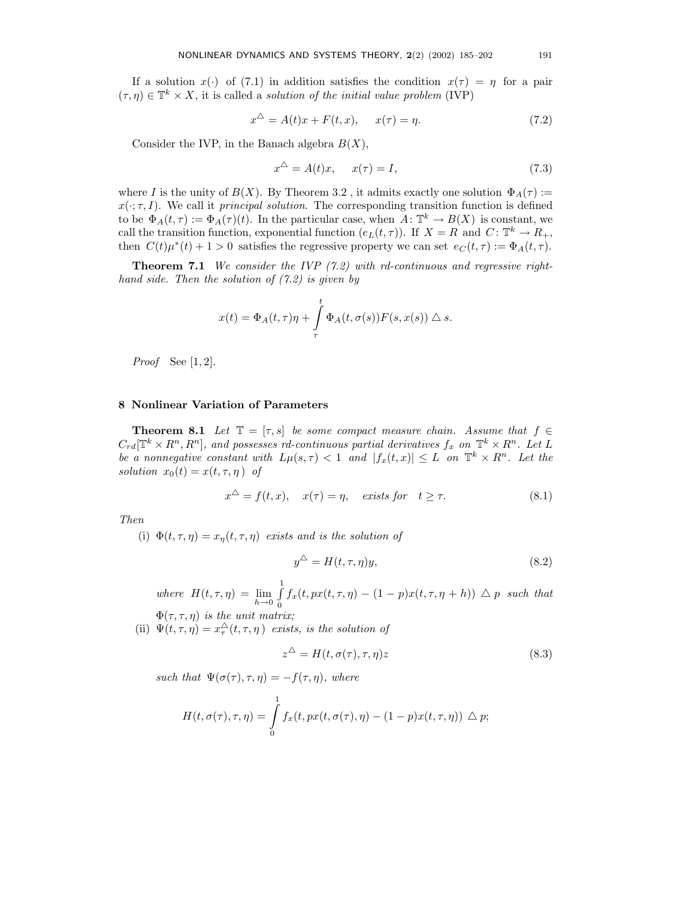If a solution  $x(\cdot)$  of (7.1) in addition satisfies the condition  $x(\tau) = \eta$  for a pair  $(\tau, \eta) \in \mathbb{T}^k \times X$ , it is called a *solution of the initial value problem* (IVP)

$$
x^{\triangle} = A(t)x + F(t, x), \qquad x(\tau) = \eta. \tag{7.2}
$$

Consider the IVP, in the Banach algebra  $B(X)$ ,

$$
x^{\triangle} = A(t)x, \quad x(\tau) = I,\tag{7.3}
$$

where I is the unity of  $B(X)$ . By Theorem 3.2, it admits exactly one solution  $\Phi_A(\tau) :=$  $x(\cdot; \tau, I)$ . We call it *principal solution*. The corresponding transition function is defined to be  $\Phi_A(t,\tau) := \Phi_A(\tau)(t)$ . In the particular case, when  $\overline{A} : \mathbb{T}^k \to B(X)$  is constant, we call the transition function, exponential function  $(e_L(t,\tau))$ . If  $X = R$  and  $C: \mathbb{T}^k \to R_+$ , then  $C(t)\mu^*(t) + 1 > 0$  satisfies the regressive property we can set  $e_C(t, \tau) := \Phi_A(t, \tau)$ .

**Theorem 7.1** We consider the IVP  $(7.2)$  with rd-continuous and regressive righthand side. Then the solution of  $(7.2)$  is given by

$$
x(t) = \Phi_A(t, \tau)\eta + \int_{\tau}^{t} \Phi_A(t, \sigma(s))F(s, x(s)) \triangle s.
$$

*Proof* See  $[1, 2]$ .

## 8 Nonlinear Variation of Parameters

**Theorem 8.1** Let  $\mathbb{T} = [\tau, s]$  be some compact measure chain. Assume that  $f \in$  $C_{rd}[\mathbb{T}^k \times R^n, R^n]$ , and possesses rd-continuous partial derivatives  $f_x$  on  $\mathbb{T}^k \times R^n$ . Let L be a nonnegative constant with  $L\mu(s,\tau) < 1$  and  $|f_x(t,x)| \leq L$  on  $\mathbb{T}^k \times R^n$ . Let the solution  $x_0(t) = x(t, \tau, \eta)$  of

$$
x^{\triangle} = f(t, x), \quad x(\tau) = \eta, \quad \text{exists for} \quad t \ge \tau. \tag{8.1}
$$

Then

(i)  $\Phi(t, \tau, \eta) = x_{\eta}(t, \tau, \eta)$  exists and is the solution of

$$
y^{\triangle} = H(t, \tau, \eta)y, \tag{8.2}
$$

where  $H(t, \tau, \eta) = \lim_{h \to 0} \int_0^1$  $\int_{0}^{t} f_x(t, px(t, \tau, \eta) - (1-p)x(t, \tau, \eta + h)) \triangle p$  such that  $\Phi(\tau,\tau,\eta)$  is the unit matrix;

(ii)  $\Psi(t,\tau,\eta) = x_\tau^{\triangle}(t,\tau,\eta)$  exists, is the solution of

$$
z^{\triangle} = H(t, \sigma(\tau), \tau, \eta)z
$$
\n(8.3)

such that  $\Psi(\sigma(\tau), \tau, \eta) = -f(\tau, \eta)$ , where

$$
H(t, \sigma(\tau), \tau, \eta) = \int_{0}^{1} f_x(t, px(t, \sigma(\tau), \eta) - (1 - p)x(t, \tau, \eta)) \triangle p;
$$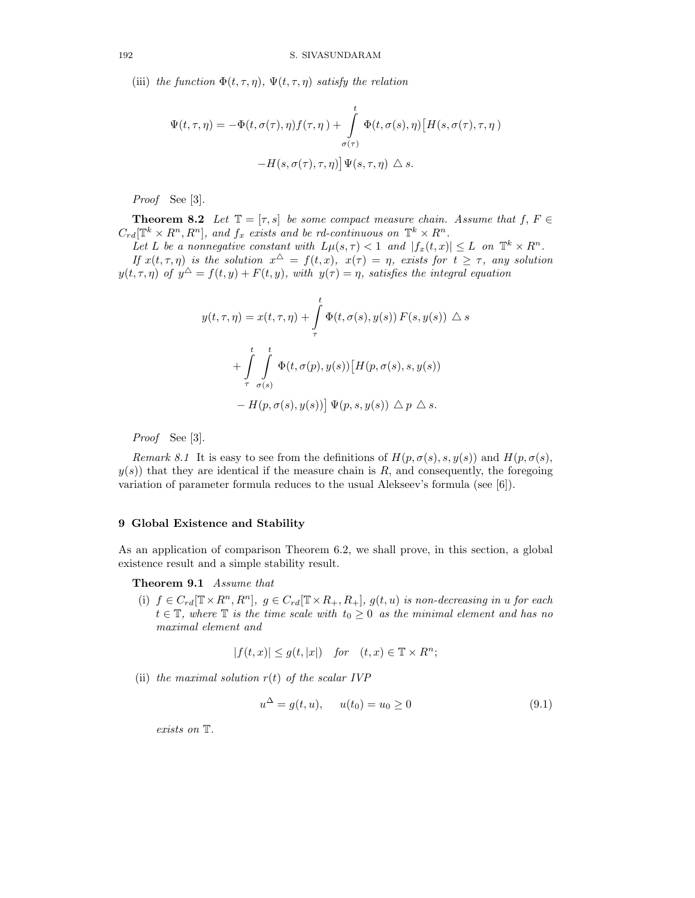(iii) the function  $\Phi(t, \tau, \eta)$ ,  $\Psi(t, \tau, \eta)$  satisfy the relation

$$
\Psi(t,\tau,\eta) = -\Phi(t,\sigma(\tau),\eta)f(\tau,\eta) + \int_{\sigma(\tau)}^t \Phi(t,\sigma(s),\eta) \left[ H(s,\sigma(\tau),\tau,\eta) - H(s,\sigma(\tau),\tau,\eta) \right] \Psi(s,\tau,\eta) \triangleq s.
$$

Proof See [3].

**Theorem 8.2** Let  $\mathbb{T} = [\tau, s]$  be some compact measure chain. Assume that  $f, F \in$  $C_{rd}[\mathbb{T}^k \times R^n, R^n]$ , and  $f_x$  exists and be rd-continuous on  $\mathbb{T}^k \times R^n$ .

Let L be a nonnegative constant with  $L\mu(s, \tau) < 1$  and  $|f_x(t, x)| \leq L$  on  $\mathbb{T}^k \times R^n$ . If  $x(t, \tau, \eta)$  is the solution  $x^{\Delta} = f(t, x)$ ,  $x(\tau) = \eta$ , exists for  $t \geq \tau$ , any solution  $y(t, \tau, \eta)$  of  $y^{\Delta} = f(t, y) + F(t, y)$ , with  $y(\tau) = \eta$ , satisfies the integral equation

$$
y(t, \tau, \eta) = x(t, \tau, \eta) + \int_{\tau}^{t} \Phi(t, \sigma(s), y(s)) F(s, y(s)) \triangle s
$$
  
+ 
$$
\int_{\tau}^{t} \int_{\sigma(s)}^{t} \Phi(t, \sigma(p), y(s)) [H(p, \sigma(s), s, y(s))
$$
  
- 
$$
H(p, \sigma(s), y(s)) ] \Psi(p, s, y(s)) \triangle p \triangle s.
$$

Proof See [3].

Remark 8.1 It is easy to see from the definitions of  $H(p, \sigma(s), s, y(s))$  and  $H(p, \sigma(s),$  $y(s)$ ) that they are identical if the measure chain is R, and consequently, the foregoing variation of parameter formula reduces to the usual Alekseev's formula (see [6]).

#### 9 Global Existence and Stability

As an application of comparison Theorem 6.2, we shall prove, in this section, a global existence result and a simple stability result.

Theorem 9.1 Assume that

(i)  $f \in C_{rd}[\mathbb{T} \times R^n, R^n]$ ,  $g \in C_{rd}[\mathbb{T} \times R_+, R_+]$ ,  $g(t, u)$  is non-decreasing in u for each  $t \in \mathbb{T}$ , where  $\mathbb{T}$  is the time scale with  $t_0 \geq 0$  as the minimal element and has no maximal element and

$$
|f(t,x)| \le g(t,|x|) \quad \text{for} \quad (t,x) \in \mathbb{T} \times R^n;
$$

(ii) the maximal solution  $r(t)$  of the scalar IVP

$$
u^{\Delta} = g(t, u), \qquad u(t_0) = u_0 \ge 0 \tag{9.1}
$$

exists on T.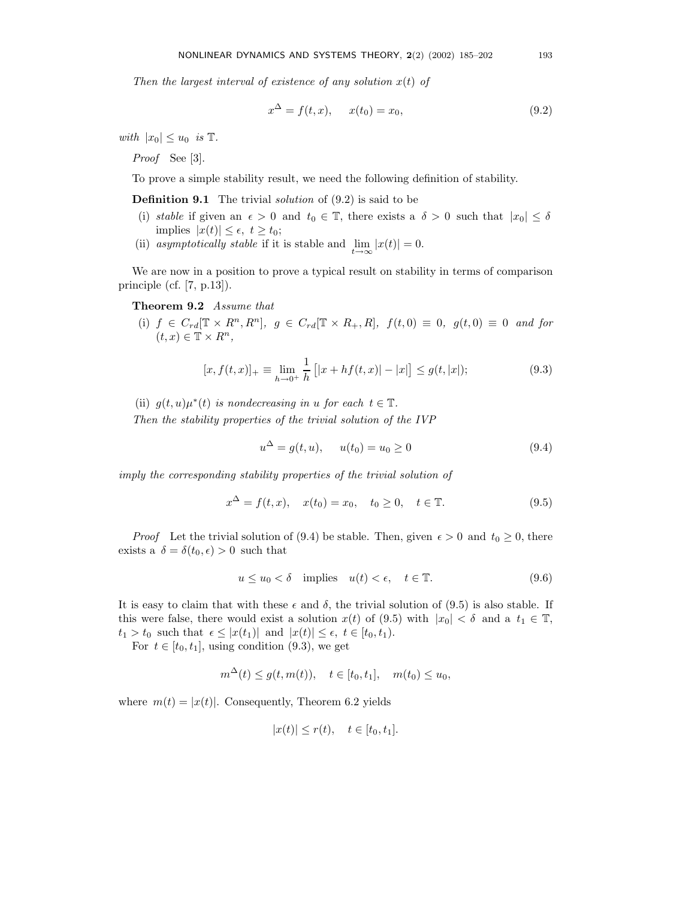Then the largest interval of existence of any solution  $x(t)$  of

$$
x^{\Delta} = f(t, x), \quad x(t_0) = x_0,
$$
\n(9.2)

with  $|x_0| \leq u_0$  is  $\mathbb{T}$ .

Proof See [3].

To prove a simple stability result, we need the following definition of stability.

**Definition 9.1** The trivial *solution* of  $(9.2)$  is said to be

- (i) stable if given an  $\epsilon > 0$  and  $t_0 \in \mathbb{T}$ , there exists a  $\delta > 0$  such that  $|x_0| \leq \delta$ implies  $|x(t)| \leq \epsilon, t \geq t_0;$
- (ii) asymptotically stable if it is stable and  $\lim_{t\to\infty} |x(t)| = 0.$

We are now in a position to prove a typical result on stability in terms of comparison principle (cf. [7, p.13]).

Theorem 9.2 Assume that

(i)  $f \in C_{rd}[\mathbb{T} \times R^n, R^n], g \in C_{rd}[\mathbb{T} \times R_+, R], f(t,0) \equiv 0, g(t,0) \equiv 0 \text{ and for}$  $(t, x) \in \mathbb{T} \times R^n$ ,

$$
[x, f(t, x)]_{+} \equiv \lim_{h \to 0^{+}} \frac{1}{h} [x + hf(t, x)] - |x|] \le g(t, |x|); \tag{9.3}
$$

(ii)  $g(t, u)\mu^*(t)$  is nondecreasing in u for each  $t \in \mathbb{T}$ .

Then the stability properties of the trivial solution of the IVP

$$
u^{\Delta} = g(t, u), \qquad u(t_0) = u_0 \ge 0 \tag{9.4}
$$

imply the corresponding stability properties of the trivial solution of

$$
x^{\Delta} = f(t, x), \quad x(t_0) = x_0, \quad t_0 \ge 0, \quad t \in \mathbb{T}.
$$
 (9.5)

*Proof* Let the trivial solution of (9.4) be stable. Then, given  $\epsilon > 0$  and  $t_0 \ge 0$ , there exists a  $\delta = \delta(t_0, \epsilon) > 0$  such that

$$
u \le u_0 < \delta \quad \text{implies} \quad u(t) < \epsilon, \quad t \in \mathbb{T}.\tag{9.6}
$$

It is easy to claim that with these  $\epsilon$  and  $\delta$ , the trivial solution of (9.5) is also stable. If this were false, there would exist a solution  $x(t)$  of (9.5) with  $|x_0| < \delta$  and a  $t_1 \in \mathbb{T}$ ,  $t_1 > t_0$  such that  $\epsilon \leq |x(t_1)|$  and  $|x(t)| \leq \epsilon$ ,  $t \in [t_0, t_1)$ .

For  $t \in [t_0, t_1]$ , using condition (9.3), we get

$$
m^{\Delta}(t) \le g(t, m(t)), \quad t \in [t_0, t_1], \quad m(t_0) \le u_0,
$$

where  $m(t) = |x(t)|$ . Consequently, Theorem 6.2 yields

$$
|x(t)| \le r(t), \quad t \in [t_0, t_1].
$$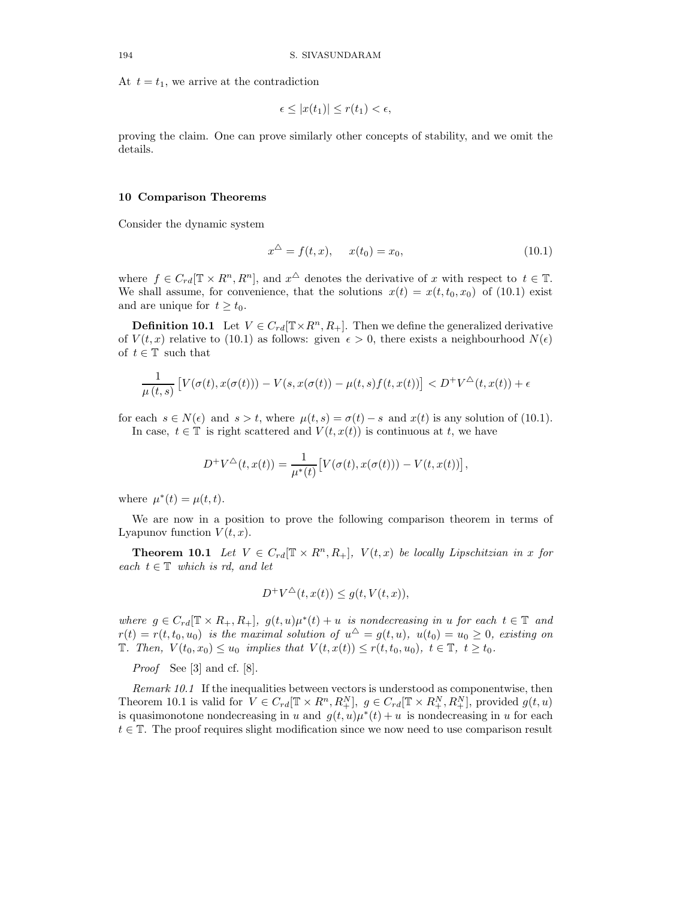At  $t = t_1$ , we arrive at the contradiction

$$
\epsilon \leq |x(t_1)| \leq r(t_1) < \epsilon,
$$

proving the claim. One can prove similarly other concepts of stability, and we omit the details.

#### 10 Comparison Theorems

Consider the dynamic system

$$
x^{\Delta} = f(t, x), \quad x(t_0) = x_0,
$$
\n(10.1)

where  $f \in C_{rd}[\mathbb{T} \times R^n, R^n]$ , and  $x^{\Delta}$  denotes the derivative of x with respect to  $t \in \mathbb{T}$ . We shall assume, for convenience, that the solutions  $x(t) = x(t, t_0, x_0)$  of (10.1) exist and are unique for  $t \geq t_0$ .

**Definition 10.1** Let  $V \in C_{rd}(\mathbb{T} \times R^n, R_+)$ . Then we define the generalized derivative of  $V(t, x)$  relative to (10.1) as follows: given  $\epsilon > 0$ , there exists a neighbourhood  $N(\epsilon)$ of  $t \in \mathbb{T}$  such that

$$
\frac{1}{\mu(t,s)} \left[ V(\sigma(t), x(\sigma(t))) - V(s, x(\sigma(t)) - \mu(t,s)f(t, x(t)) \right] < D^+ V^{\triangle}(t, x(t)) + \epsilon
$$

for each  $s \in N(\epsilon)$  and  $s > t$ , where  $\mu(t, s) = \sigma(t) - s$  and  $x(t)$  is any solution of (10.1). In case,  $t \in \mathbb{T}$  is right scattered and  $V(t, x(t))$  is continuous at t, we have

$$
D^{+}V^{\triangle}(t, x(t)) = \frac{1}{\mu^{*}(t)} \big[ V(\sigma(t), x(\sigma(t))) - V(t, x(t)) \big],
$$

where  $\mu^*(t) = \mu(t, t)$ .

We are now in a position to prove the following comparison theorem in terms of Lyapunov function  $V(t, x)$ .

**Theorem 10.1** Let  $V \in C_{rd}[\mathbb{T} \times R^n, R_+]$ ,  $V(t, x)$  be locally Lipschitzian in x for each  $t \in \mathbb{T}$  which is rd, and let

$$
D^{+}V^{\triangle}(t, x(t)) \le g(t, V(t, x)),
$$

where  $g \in C_{rd}[\mathbb{T} \times R_+, R_+]$ ,  $g(t, u)\mu^*(t) + u$  is nondecreasing in u for each  $t \in \mathbb{T}$  and  $r(t) = r(t, t_0, u_0)$  is the maximal solution of  $u^{\Delta} = g(t, u)$ ,  $u(t_0) = u_0 \geq 0$ , existing on T. Then,  $V(t_0, x_0) \le u_0$  implies that  $V(t, x(t)) \le r(t, t_0, u_0)$ ,  $t \in \mathbb{T}$ ,  $t \ge t_0$ .

Proof See [3] and cf. [8].

Remark 10.1 If the inequalities between vectors is understood as componentwise, then Theorem 10.1 is valid for  $V \in C_{rd}[\mathbb{T} \times R^n, R_+^N]$ ,  $g \in C_{rd}[\mathbb{T} \times R_+^N, R_+^N]$ , provided  $g(t, u)$ is quasimonotone nondecreasing in u and  $g(t, u)\mu^*(t) + u$  is nondecreasing in u for each  $t \in \mathbb{T}$ . The proof requires slight modification since we now need to use comparison result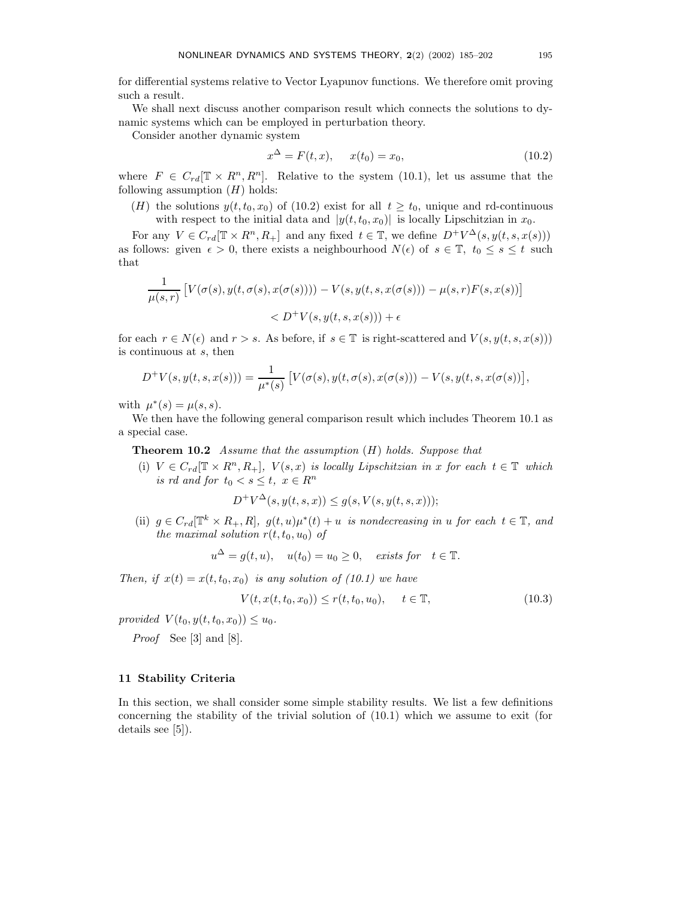for differential systems relative to Vector Lyapunov functions. We therefore omit proving such a result.

We shall next discuss another comparison result which connects the solutions to dynamic systems which can be employed in perturbation theory.

Consider another dynamic system

$$
x^{\Delta} = F(t, x), \qquad x(t_0) = x_0,\tag{10.2}
$$

where  $F \in C_{rd}[\mathbb{T} \times R^n, R^n]$ . Relative to the system (10.1), let us assume that the following assumption  $(H)$  holds:

(H) the solutions  $y(t, t_0, x_0)$  of (10.2) exist for all  $t \geq t_0$ , unique and rd-continuous with respect to the initial data and  $|y(t, t_0, x_0)|$  is locally Lipschitzian in  $x_0$ .

For any  $V \in C_{rd}[\mathbb{T} \times R^n, R_+]$  and any fixed  $t \in \mathbb{T}$ , we define  $D^+V^{\Delta}(s, y(t, s, x(s)))$ as follows: given  $\epsilon > 0$ , there exists a neighbourhood  $N(\epsilon)$  of  $s \in \mathbb{T}$ ,  $t_0 \leq s \leq t$  such that

$$
\frac{1}{\mu(s,r)} \left[ V(\sigma(s), y(t, \sigma(s), x(\sigma(s)))) - V(s, y(t, s, x(\sigma(s))) - \mu(s, r) F(s, x(s)) \right]
$$
  
< 
$$
< D^{+}V(s, y(t, s, x(s))) + \epsilon
$$

for each  $r \in N(\epsilon)$  and  $r > s$ . As before, if  $s \in \mathbb{T}$  is right-scattered and  $V(s, y(t, s, x(s)))$ is continuous at s, then

$$
D^{+}V(s, y(t, s, x(s))) = \frac{1}{\mu^{*}(s)} \left[ V(\sigma(s), y(t, \sigma(s), x(\sigma(s))) - V(s, y(t, s, x(\sigma(s))) \right],
$$

with  $\mu^*(s) = \mu(s, s)$ .

We then have the following general comparison result which includes Theorem 10.1 as a special case.

**Theorem 10.2** Assume that the assumption  $(H)$  holds. Suppose that

(i)  $V \in C_{rd}[\mathbb{T} \times R^n, R_+]$ ,  $V(s, x)$  is locally Lipschitzian in x for each  $t \in \mathbb{T}$  which is rd and for  $t_0 < s \leq t$ ,  $x \in R^n$ 

$$
D^{+}V^{\Delta}(s, y(t, s, x)) \le g(s, V(s, y(t, s, x)))
$$

(ii)  $g \in C_{rd}[\mathbb{T}^k \times R_+, R], g(t, u)\mu^*(t) + u$  is nondecreasing in u for each  $t \in \mathbb{T}$ , and the maximal solution  $r(t, t_0, u_0)$  of

$$
u^{\Delta} = g(t, u),
$$
  $u(t_0) = u_0 \ge 0,$  *exists for*  $t \in \mathbb{T}.$ 

Then, if  $x(t) = x(t, t_0, x_0)$  is any solution of (10.1) we have

$$
V(t, x(t, t_0, x_0)) \le r(t, t_0, u_0), \quad t \in \mathbb{T},
$$
\n(10.3)

provided  $V(t_0, y(t, t_0, x_0)) \leq u_0$ .

Proof See [3] and [8].

# 11 Stability Criteria

In this section, we shall consider some simple stability results. We list a few definitions concerning the stability of the trivial solution of (10.1) which we assume to exit (for details see [5]).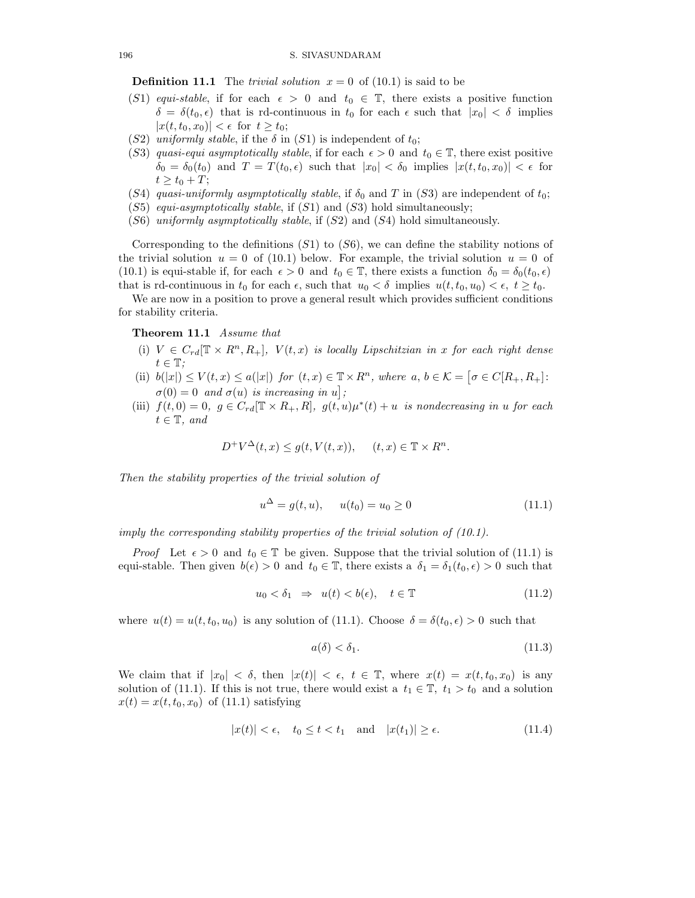**Definition 11.1** The *trivial solution*  $x = 0$  of (10.1) is said to be

- (S1) equi-stable, if for each  $\epsilon > 0$  and  $t_0 \in \mathbb{T}$ , there exists a positive function  $\delta = \delta(t_0, \epsilon)$  that is rd-continuous in  $t_0$  for each  $\epsilon$  such that  $|x_0| < \delta$  implies  $|x(t, t_0, x_0)| < \epsilon \text{ for } t \geq t_0;$
- (S2) uniformly stable, if the  $\delta$  in (S1) is independent of  $t_0$ ;
- (S3) quasi-equi asymptotically stable, if for each  $\epsilon > 0$  and  $t_0 \in \mathbb{T}$ , there exist positive  $\delta_0 = \delta_0(t_0)$  and  $T = T(t_0, \epsilon)$  such that  $|x_0| < \delta_0$  implies  $|x(t, t_0, x_0)| < \epsilon$  for  $t \geq t_0 + T;$
- (S4) quasi-uniformly asymptotically stable, if  $\delta_0$  and T in (S3) are independent of  $t_0$ ;
- $(S5)$  equi-asymptotically stable, if  $(S1)$  and  $(S3)$  hold simultaneously;
- $(S6)$  uniformly asymptotically stable, if  $(S2)$  and  $(S4)$  hold simultaneously.

Corresponding to the definitions  $(S1)$  to  $(S6)$ , we can define the stability notions of the trivial solution  $u = 0$  of (10.1) below. For example, the trivial solution  $u = 0$  of (10.1) is equi-stable if, for each  $\epsilon > 0$  and  $t_0 \in \mathbb{T}$ , there exists a function  $\delta_0 = \delta_0(t_0, \epsilon)$ that is rd-continuous in  $t_0$  for each  $\epsilon$ , such that  $u_0 < \delta$  implies  $u(t, t_0, u_0) < \epsilon$ ,  $t \geq t_0$ .

We are now in a position to prove a general result which provides sufficient conditions for stability criteria.

#### Theorem 11.1 Assume that

- (i)  $V \in C_{rd}[\mathbb{T} \times R^n, R_+]$ ,  $V(t, x)$  is locally Lipschitzian in x for each right dense  $t\in\mathbb{T}$ ;
- (ii)  $b(|x|) \le V(t,x) \le a(|x|)$  for  $(t,x) \in \mathbb{T} \times R^n$ , where  $a, b \in \mathcal{K} = [\sigma \in C[R_+, R_+]:$  $\sigma(0) = 0$  and  $\sigma(u)$  is increasing in  $u$ ;
- (iii)  $f(t,0) = 0, g \in C_{rd}[\mathbb{T} \times R_+, R], g(t, u)\mu^*(t) + u$  is nondecreasing in u for each  $t \in \mathbb{T}$ , and

$$
D^{+}V^{\Delta}(t,x) \le g(t, V(t,x)), \quad (t,x) \in \mathbb{T} \times R^{n}.
$$

Then the stability properties of the trivial solution of

$$
u^{\Delta} = g(t, u), \qquad u(t_0) = u_0 \ge 0 \tag{11.1}
$$

imply the corresponding stability properties of the trivial solution of (10.1).

*Proof* Let  $\epsilon > 0$  and  $t_0 \in \mathbb{T}$  be given. Suppose that the trivial solution of (11.1) is equi-stable. Then given  $b(\epsilon) > 0$  and  $t_0 \in \mathbb{T}$ , there exists a  $\delta_1 = \delta_1(t_0, \epsilon) > 0$  such that

$$
u_0 < \delta_1 \quad \Rightarrow \quad u(t) < b(\epsilon), \quad t \in \mathbb{T} \tag{11.2}
$$

where  $u(t) = u(t, t_0, u_0)$  is any solution of (11.1). Choose  $\delta = \delta(t_0, \epsilon) > 0$  such that

$$
a(\delta) < \delta_1. \tag{11.3}
$$

We claim that if  $|x_0| < \delta$ , then  $|x(t)| < \epsilon$ ,  $t \in \mathbb{T}$ , where  $x(t) = x(t, t_0, x_0)$  is any solution of (11.1). If this is not true, there would exist a  $t_1 \in \mathbb{T}$ ,  $t_1 > t_0$  and a solution  $x(t) = x(t, t_0, x_0)$  of (11.1) satisfying

$$
|x(t)| < \epsilon, \quad t_0 \le t < t_1 \quad \text{and} \quad |x(t_1)| \ge \epsilon. \tag{11.4}
$$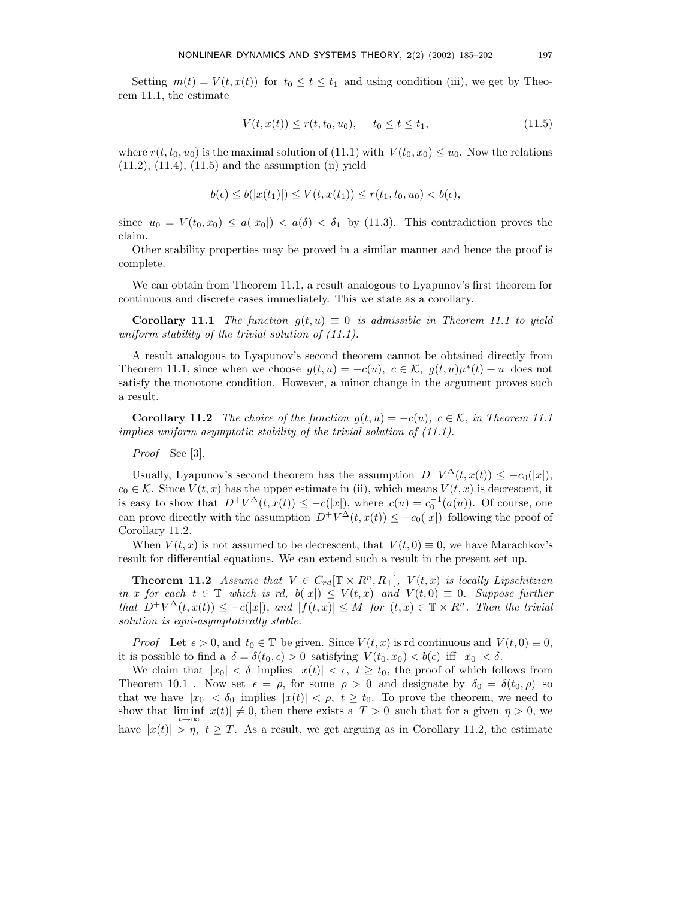Setting  $m(t) = V(t, x(t))$  for  $t_0 \le t \le t_1$  and using condition (iii), we get by Theorem 11.1, the estimate

$$
V(t, x(t)) \le r(t, t_0, u_0), \quad t_0 \le t \le t_1,
$$
\n(11.5)

where  $r(t, t_0, u_0)$  is the maximal solution of (11.1) with  $V(t_0, x_0) \leq u_0$ . Now the relations  $(11.2)$ ,  $(11.4)$ ,  $(11.5)$  and the assumption  $(ii)$  yield

$$
b(\epsilon) \le b(|x(t_1)|) \le V(t, x(t_1)) \le r(t_1, t_0, u_0) < b(\epsilon),
$$

since  $u_0 = V(t_0, x_0) \le a(|x_0|) < a(\delta) < \delta_1$  by (11.3). This contradiction proves the claim.

Other stability properties may be proved in a similar manner and hence the proof is complete.

We can obtain from Theorem 11.1, a result analogous to Lyapunov's first theorem for continuous and discrete cases immediately. This we state as a corollary.

**Corollary 11.1** The function  $g(t, u) \equiv 0$  is admissible in Theorem 11.1 to yield uniform stability of the trivial solution of  $(11.1)$ .

A result analogous to Lyapunov's second theorem cannot be obtained directly from Theorem 11.1, since when we choose  $g(t, u) = -c(u)$ ,  $c \in \mathcal{K}$ ,  $g(t, u)\mu^*(t) + u$  does not satisfy the monotone condition. However, a minor change in the argument proves such a result.

**Corollary 11.2** The choice of the function  $g(t, u) = -c(u)$ ,  $c \in \mathcal{K}$ , in Theorem 11.1 implies uniform asymptotic stability of the trivial solution of (11.1).

Proof See [3].

Usually, Lyapunov's second theorem has the assumption  $D^+V^{\Delta}(t, x(t)) \leq -c_0(|x|)$ ,  $c_0 \in \mathcal{K}$ . Since  $V(t, x)$  has the upper estimate in (ii), which means  $V(t, x)$  is decrescent, it is easy to show that  $D^+V^{\Delta}(t, x(t)) \leq -c(|x|)$ , where  $c(u) = c_0^{-1}(a(u))$ . Of course, one can prove directly with the assumption  $D^+V^{\Delta}(t, x(t)) \leq -c_0(|x|)$  following the proof of Corollary 11.2.

When  $V(t, x)$  is not assumed to be decrescent, that  $V(t, 0) \equiv 0$ , we have Marachkov's result for differential equations. We can extend such a result in the present set up.

**Theorem 11.2** Assume that  $V \in C_{rd}[\mathbb{T} \times R^n, R_+]$ ,  $V(t, x)$  is locally Lipschitzian in x for each  $t \in \mathbb{T}$  which is rd,  $b(|x|) \leq V(t,x)$  and  $V(t,0) \equiv 0$ . Suppose further that  $D^+V^{\Delta}(t, x(t)) \leq -c(|x|)$ , and  $|f(t, x)| \leq M$  for  $(t, x) \in \mathbb{T} \times R^n$ . Then the trivial solution is equi-asymptotically stable.

*Proof* Let  $\epsilon > 0$ , and  $t_0 \in \mathbb{T}$  be given. Since  $V(t, x)$  is rd continuous and  $V(t, 0) \equiv 0$ , it is possible to find a  $\delta = \delta(t_0, \epsilon) > 0$  satisfying  $V(t_0, x_0) < b(\epsilon)$  iff  $|x_0| < \delta$ .

We claim that  $|x_0| < \delta$  implies  $|x(t)| < \epsilon$ ,  $t \geq t_0$ , the proof of which follows from Theorem 10.1. Now set  $\epsilon = \rho$ , for some  $\rho > 0$  and designate by  $\delta_0 = \delta(t_0, \rho)$  so that we have  $|x_0| < \delta_0$  implies  $|x(t)| < \rho$ ,  $t \geq t_0$ . To prove the theorem, we need to show that  $\liminf_{t\to\infty} |x(t)| \neq 0$ , then there exists a  $T > 0$  such that for a given  $\eta > 0$ , we have  $|x(t)| > \eta$ ,  $t \geq T$ . As a result, we get arguing as in Corollary 11.2, the estimate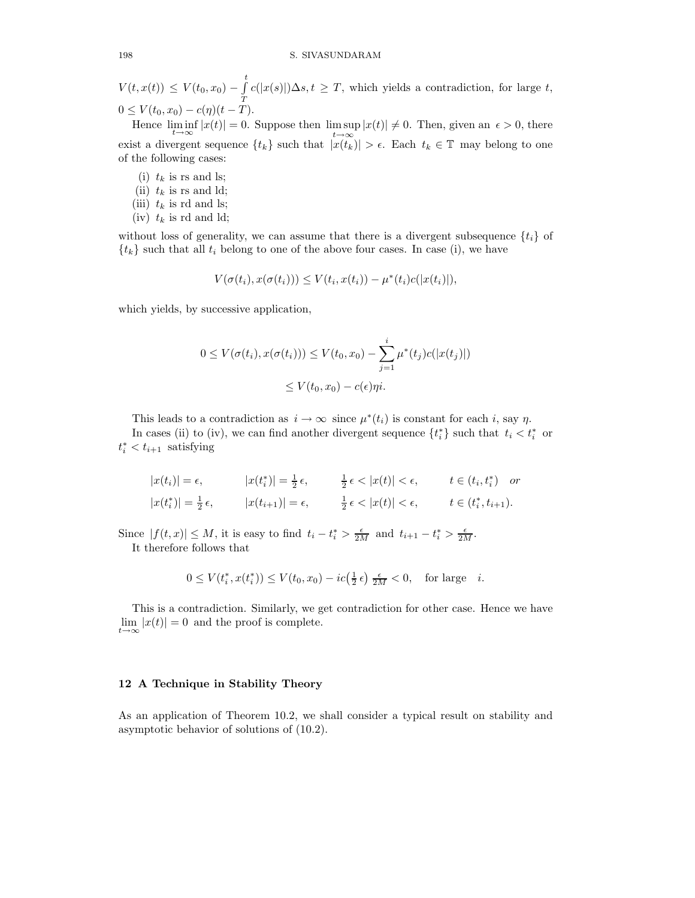$V(t, x(t)) \leq V(t_0, x_0) - \int_0^t$  $\boldsymbol{\mathcal{I}}$  $c(|x(s)|)\Delta s, t \geq T$ , which yields a contradiction, for large t,  $0 \le V(t_0, x_0) - c(\eta)(t - T).$ 

Hence  $\liminf_{t\to\infty} |x(t)| = 0$ . Suppose then  $\limsup_{t\to\infty} |x(t)| \neq 0$ . Then, given an  $\epsilon > 0$ , there exist a divergent sequence  $\{t_k\}$  such that  $|x(t_k)| > \epsilon$ . Each  $t_k \in \mathbb{T}$  may belong to one of the following cases:

- (i)  $t_k$  is rs and ls; (ii)  $t_k$  is rs and ld; (iii)  $t_k$  is rd and ls;
- (iv)  $t_k$  is rd and ld;

without loss of generality, we can assume that there is a divergent subsequence  $\{t_i\}$  of  ${t_k}$  such that all  $t_i$  belong to one of the above four cases. In case (i), we have

$$
V(\sigma(t_i), x(\sigma(t_i))) \leq V(t_i, x(t_i)) - \mu^*(t_i)c(|x(t_i)|),
$$

which yields, by successive application,

$$
0 \le V(\sigma(t_i), x(\sigma(t_i))) \le V(t_0, x_0) - \sum_{j=1}^i \mu^*(t_j) c(|x(t_j)|)
$$
  

$$
\le V(t_0, x_0) - c(\epsilon) \eta i.
$$

This leads to a contradiction as  $i \to \infty$  since  $\mu^*(t_i)$  is constant for each i, say  $\eta$ .

In cases (ii) to (iv), we can find another divergent sequence  $\{t_i^*\}$  such that  $t_i < t_i^*$  or  $t_i^* < t_{i+1}$  satisfying

$$
|x(t_i)| = \epsilon, \qquad |x(t_i^*)| = \frac{1}{2}\epsilon, \qquad \frac{1}{2}\epsilon < |x(t)| < \epsilon, \qquad t \in (t_i, t_i^*) \quad \text{or}
$$
\n
$$
|x(t_i^*)| = \frac{1}{2}\epsilon, \qquad |x(t_{i+1})| = \epsilon, \qquad \frac{1}{2}\epsilon < |x(t)| < \epsilon, \qquad t \in (t_i^*, t_{i+1}).
$$

Since  $|f(t,x)| \leq M$ , it is easy to find  $t_i - t_i^* > \frac{\epsilon}{2M}$  and  $t_{i+1} - t_i^* > \frac{\epsilon}{2M}$ . It therefore follows that

$$
0 \le V(t_i^*, x(t_i^*)) \le V(t_0, x_0) - ic\left(\frac{1}{2}\epsilon\right) \frac{\epsilon}{2M} < 0, \text{ for large } i.
$$

This is a contradiction. Similarly, we get contradiction for other case. Hence we have  $\lim_{t\to\infty} |x(t)| = 0$  and the proof is complete.

# 12 A Technique in Stability Theory

As an application of Theorem 10.2, we shall consider a typical result on stability and asymptotic behavior of solutions of (10.2).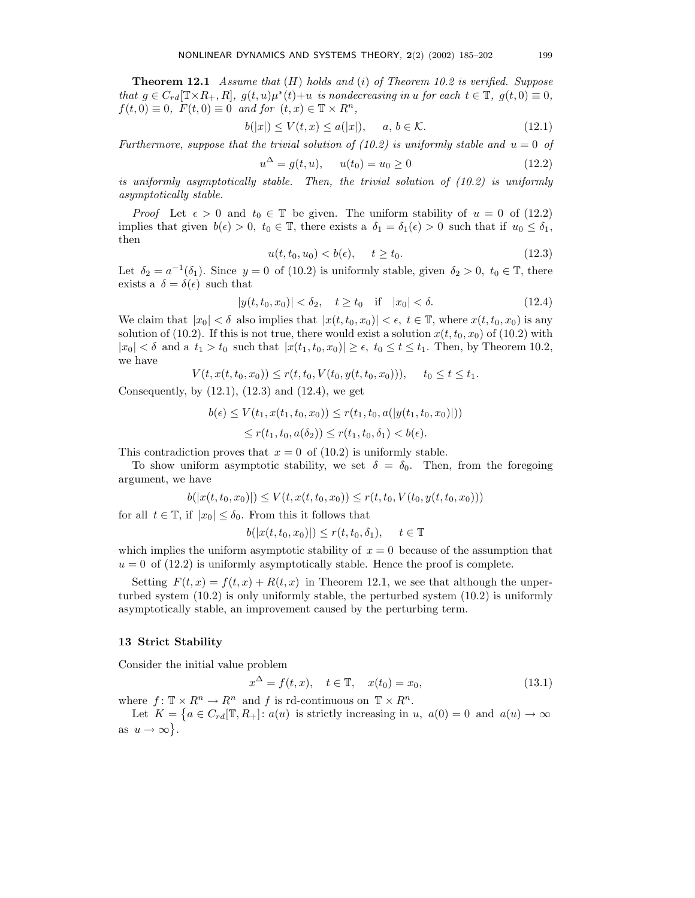**Theorem 12.1** Assume that  $(H)$  holds and  $(i)$  of Theorem 10.2 is verified. Suppose that  $g \in C_{rd}[\mathbb{T} \times R_+, R]$ ,  $g(t, u)\mu^*(t) + u$  is nondecreasing in u for each  $t \in \mathbb{T}$ ,  $g(t, 0) \equiv 0$ ,  $f(t, 0) \equiv 0$ ,  $F(t, 0) \equiv 0$  and for  $(t, x) \in \mathbb{T} \times R^n$ ,

$$
b(|x|) \le V(t, x) \le a(|x|), \quad a, b \in \mathcal{K}.
$$
\n
$$
(12.1)
$$

Furthermore, suppose that the trivial solution of (10.2) is uniformly stable and  $u = 0$  of

$$
u^{\Delta} = g(t, u), \qquad u(t_0) = u_0 \ge 0 \tag{12.2}
$$

is uniformly asymptotically stable. Then, the trivial solution of (10.2) is uniformly asymptotically stable.

*Proof* Let  $\epsilon > 0$  and  $t_0 \in \mathbb{T}$  be given. The uniform stability of  $u = 0$  of (12.2) implies that given  $b(\epsilon) > 0$ ,  $t_0 \in \mathbb{T}$ , there exists a  $\delta_1 = \delta_1(\epsilon) > 0$  such that if  $u_0 \leq \delta_1$ , then

$$
u(t, t_0, u_0) < b(\epsilon), \quad t \ge t_0. \tag{12.3}
$$

Let  $\delta_2 = a^{-1}(\delta_1)$ . Since  $y = 0$  of (10.2) is uniformly stable, given  $\delta_2 > 0$ ,  $t_0 \in \mathbb{T}$ , there exists a  $\delta = \delta(\epsilon)$  such that

$$
|y(t, t_0, x_0)| < \delta_2, \quad t \ge t_0 \quad \text{if} \quad |x_0| < \delta. \tag{12.4}
$$

We claim that  $|x_0| < \delta$  also implies that  $|x(t, t_0, x_0)| < \epsilon$ ,  $t \in \mathbb{T}$ , where  $x(t, t_0, x_0)$  is any solution of (10.2). If this is not true, there would exist a solution  $x(t, t_0, x_0)$  of (10.2) with  $|x_0| < \delta$  and a  $t_1 > t_0$  such that  $|x(t_1, t_0, x_0)| \geq \epsilon$ ,  $t_0 \leq t \leq t_1$ . Then, by Theorem 10.2, we have

$$
V(t, x(t, t_0, x_0)) \le r(t, t_0, V(t_0, y(t, t_0, x_0))), \quad t_0 \le t \le t_1.
$$

Consequently, by  $(12.1)$ ,  $(12.3)$  and  $(12.4)$ , we get

$$
b(\epsilon) \le V(t_1, x(t_1, t_0, x_0)) \le r(t_1, t_0, a(|y(t_1, t_0, x_0)|))
$$
  
 
$$
\le r(t_1, t_0, a(\delta_2)) \le r(t_1, t_0, \delta_1) < b(\epsilon).
$$

This contradiction proves that  $x = 0$  of (10.2) is uniformly stable.

To show uniform asymptotic stability, we set  $\delta = \delta_0$ . Then, from the foregoing argument, we have

$$
b(|x(t, t_0, x_0)|) \le V(t, x(t, t_0, x_0)) \le r(t, t_0, V(t_0, y(t, t_0, x_0)))
$$

for all  $t \in \mathbb{T}$ , if  $|x_0| \leq \delta_0$ . From this it follows that

$$
b(|x(t, t_0, x_0)|) \le r(t, t_0, \delta_1), \quad t \in \mathbb{T}
$$

which implies the uniform asymptotic stability of  $x = 0$  because of the assumption that  $u = 0$  of (12.2) is uniformly asymptotically stable. Hence the proof is complete.

Setting  $F(t, x) = f(t, x) + R(t, x)$  in Theorem 12.1, we see that although the unperturbed system (10.2) is only uniformly stable, the perturbed system (10.2) is uniformly asymptotically stable, an improvement caused by the perturbing term.

## 13 Strict Stability

Consider the initial value problem

$$
x^{\Delta} = f(t, x), \quad t \in \mathbb{T}, \quad x(t_0) = x_0,
$$
\n(13.1)

where  $f: \mathbb{T} \times R^n \to R^n$  and f is rd-continuous on  $\mathbb{T} \times R^n$ .

Let  $K = \{a \in C_{rd}[\mathbb{T}, R_+] : a(u)$  is strictly increasing in u,  $a(0) = 0$  and  $a(u) \to \infty$ as  $u \to \infty$ .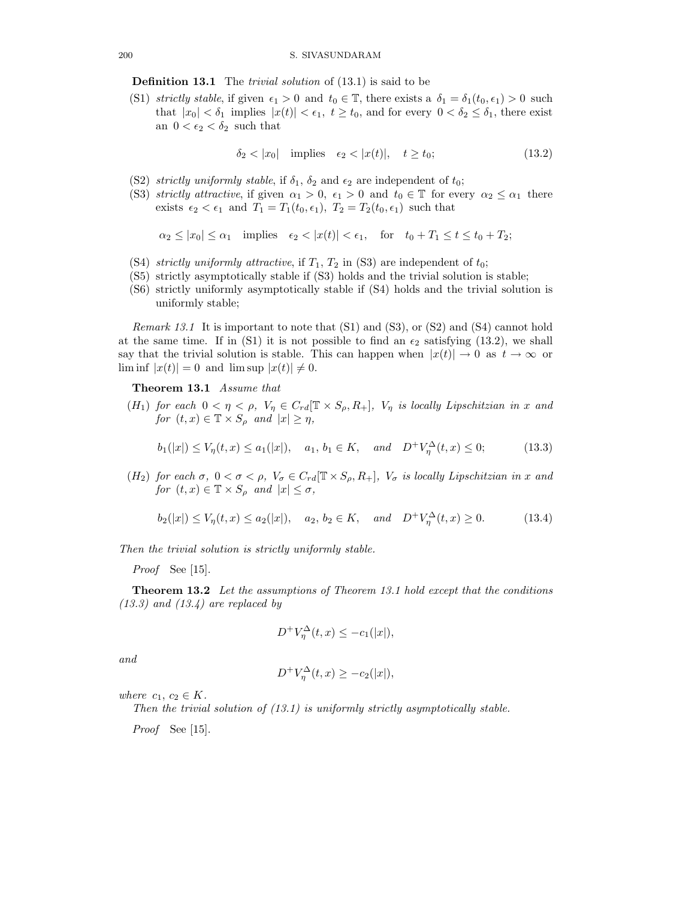Definition 13.1 The trivial solution of (13.1) is said to be

(S1) strictly stable, if given  $\epsilon_1 > 0$  and  $t_0 \in \mathbb{T}$ , there exists a  $\delta_1 = \delta_1(t_0, \epsilon_1) > 0$  such that  $|x_0| < \delta_1$  implies  $|x(t)| < \epsilon_1$ ,  $t \geq t_0$ , and for every  $0 < \delta_2 \leq \delta_1$ , there exist an  $0 < \epsilon_2 < \delta_2$  such that

$$
\delta_2 < |x_0| \quad \text{implies} \quad \epsilon_2 < |x(t)|, \quad t \ge t_0; \tag{13.2}
$$

- (S2) strictly uniformly stable, if  $\delta_1$ ,  $\delta_2$  and  $\epsilon_2$  are independent of  $t_0$ ;
- (S3) strictly attractive, if given  $\alpha_1 > 0$ ,  $\epsilon_1 > 0$  and  $t_0 \in \mathbb{T}$  for every  $\alpha_2 \leq \alpha_1$  there exists  $\epsilon_2 < \epsilon_1$  and  $T_1 = T_1(t_0, \epsilon_1)$ ,  $T_2 = T_2(t_0, \epsilon_1)$  such that

$$
\alpha_2 \le |x_0| \le \alpha_1 \quad \text{implies} \quad \epsilon_2 < |x(t)| < \epsilon_1, \quad \text{for} \quad t_0 + T_1 \le t \le t_0 + T_2;
$$

- (S4) strictly uniformly attractive, if  $T_1, T_2$  in (S3) are independent of  $t_0$ ;
- (S5) strictly asymptotically stable if (S3) holds and the trivial solution is stable;
- (S6) strictly uniformly asymptotically stable if (S4) holds and the trivial solution is uniformly stable;

Remark 13.1 It is important to note that (S1) and (S3), or (S2) and (S4) cannot hold at the same time. If in (S1) it is not possible to find an  $\epsilon_2$  satisfying (13.2), we shall say that the trivial solution is stable. This can happen when  $|x(t)| \to 0$  as  $t \to \infty$  or lim inf  $|x(t)| = 0$  and lim sup  $|x(t)| \neq 0$ .

Theorem 13.1 Assume that

(H<sub>1</sub>) for each  $0 < \eta < \rho$ ,  $V_{\eta} \in C_{rd}[\mathbb{T} \times S_{\rho}, R_{+}], V_{\eta}$  is locally Lipschitzian in x and for  $(t, x) \in \mathbb{T} \times S_\rho$  and  $|x| \geq \eta$ ,

$$
b_1(|x|) \le V_\eta(t, x) \le a_1(|x|), \quad a_1, b_1 \in K, \quad and \quad D^+V_\eta^\Delta(t, x) \le 0; \tag{13.3}
$$

(H<sub>2</sub>) for each  $\sigma$ ,  $0 < \sigma < \rho$ ,  $V_{\sigma} \in C_{rd}[\mathbb{T} \times S_{\rho}, R_{+}]$ ,  $V_{\sigma}$  is locally Lipschitzian in x and for  $(t, x) \in \mathbb{T} \times S_\rho$  and  $|x| \leq \sigma$ ,

$$
b_2(|x|) \le V_\eta(t, x) \le a_2(|x|), \quad a_2, b_2 \in K, \quad and \quad D^+V_\eta^\Delta(t, x) \ge 0. \tag{13.4}
$$

Then the trivial solution is strictly uniformly stable.

Proof See [15].

Theorem 13.2 Let the assumptions of Theorem 13.1 hold except that the conditions  $(13.3)$  and  $(13.4)$  are replaced by

$$
D^{+}V^{\Delta}_{\eta}(t,x) \le -c_{1}(|x|),
$$

and

$$
D^{+}V^{\Delta}_{\eta}(t,x) \geq -c_{2}(|x|),
$$

where  $c_1, c_2 \in K$ .

Then the trivial solution of  $(13.1)$  is uniformly strictly asymptotically stable.

Proof See [15].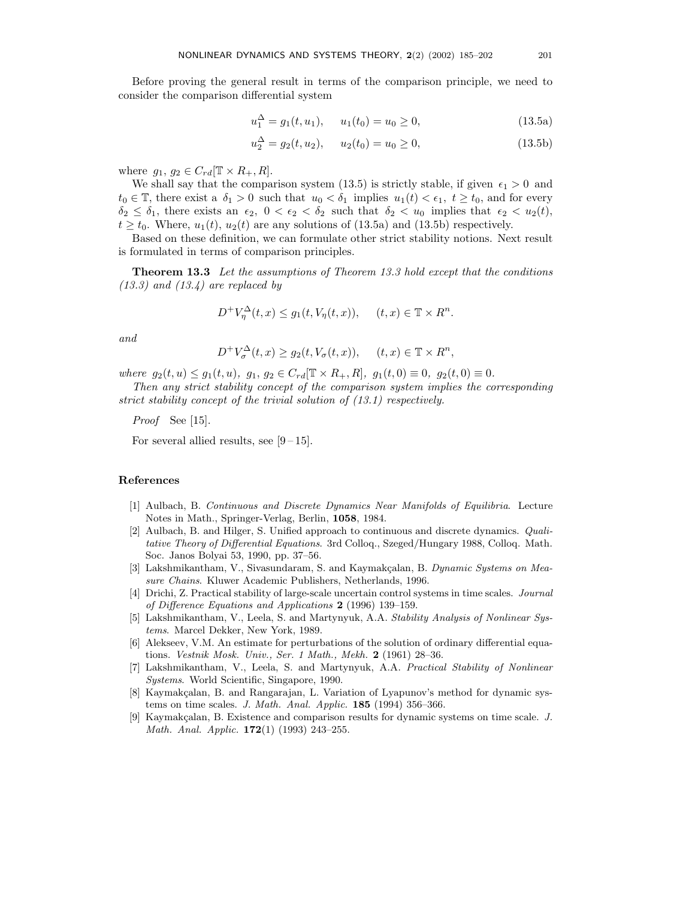Before proving the general result in terms of the comparison principle, we need to consider the comparison differential system

$$
u_1^{\Delta} = g_1(t, u_1), \quad u_1(t_0) = u_0 \ge 0,
$$
\n(13.5a)

$$
u_2^{\Delta} = g_2(t, u_2), \quad u_2(t_0) = u_0 \ge 0,
$$
\n(13.5b)

where  $g_1, g_2 \in C_{rd}[\mathbb{T} \times R_+, R].$ 

We shall say that the comparison system (13.5) is strictly stable, if given  $\epsilon_1 > 0$  and  $t_0 \in \mathbb{T}$ , there exist a  $\delta_1 > 0$  such that  $u_0 < \delta_1$  implies  $u_1(t) < \epsilon_1$ ,  $t \geq t_0$ , and for every  $\delta_2 \leq \delta_1$ , there exists an  $\epsilon_2$ ,  $0 < \epsilon_2 < \delta_2$  such that  $\delta_2 < u_0$  implies that  $\epsilon_2 < u_2(t)$ ,  $t \geq t_0$ . Where,  $u_1(t)$ ,  $u_2(t)$  are any solutions of (13.5a) and (13.5b) respectively.

Based on these definition, we can formulate other strict stability notions. Next result is formulated in terms of comparison principles.

**Theorem 13.3** Let the assumptions of Theorem 13.3 hold except that the conditions  $(13.3)$  and  $(13.4)$  are replaced by

$$
D^{+}V_{\eta}^{\Delta}(t,x) \le g_1(t, V_{\eta}(t,x)), \quad (t,x) \in \mathbb{T} \times R^n.
$$

and

$$
D^{+}V_{\sigma}^{\Delta}(t,x) \ge g_2(t, V_{\sigma}(t,x)), \quad (t,x) \in \mathbb{T} \times R^n,
$$

where  $g_2(t, u) \leq g_1(t, u)$ ,  $g_1, g_2 \in C_{rd}[\mathbb{T} \times R_+, R]$ ,  $g_1(t, 0) \equiv 0$ ,  $g_2(t, 0) \equiv 0$ .

Then any strict stability concept of the comparison system implies the corresponding strict stability concept of the trivial solution of (13.1) respectively.

Proof See [15].

For several allied results, see  $[9-15]$ .

#### References

- [1] Aulbach, B. Continuous and Discrete Dynamics Near Manifolds of Equilibria. Lecture Notes in Math., Springer-Verlag, Berlin, 1058, 1984.
- [2] Aulbach, B. and Hilger, S. Unified approach to continuous and discrete dynamics. Qualitative Theory of Differential Equations. 3rd Colloq., Szeged/Hungary 1988, Colloq. Math. Soc. Janos Bolyai 53, 1990, pp. 37–56.
- [3] Lakshmikantham, V., Sivasundaram, S. and Kaymakçalan, B. Dynamic Systems on Measure Chains. Kluwer Academic Publishers, Netherlands, 1996.
- [4] Drichi, Z. Practical stability of large-scale uncertain control systems in time scales. Journal of Difference Equations and Applications 2 (1996) 139–159.
- [5] Lakshmikantham, V., Leela, S. and Martynyuk, A.A. Stability Analysis of Nonlinear Systems. Marcel Dekker, New York, 1989.
- [6] Alekseev, V.M. An estimate for perturbations of the solution of ordinary differential equations. Vestnik Mosk. Univ., Ser. 1 Math., Mekh. 2 (1961) 28–36.
- [7] Lakshmikantham, V., Leela, S. and Martynyuk, A.A. Practical Stability of Nonlinear Systems. World Scientific, Singapore, 1990.
- [8] Kaymakçalan, B. and Rangarajan, L. Variation of Lyapunov's method for dynamic systems on time scales. J. Math. Anal. Applic. **185** (1994) 356-366.
- [9] Kaymakçalan, B. Existence and comparison results for dynamic systems on time scale. J. Math. Anal. Applic. **172**(1) (1993) 243-255.